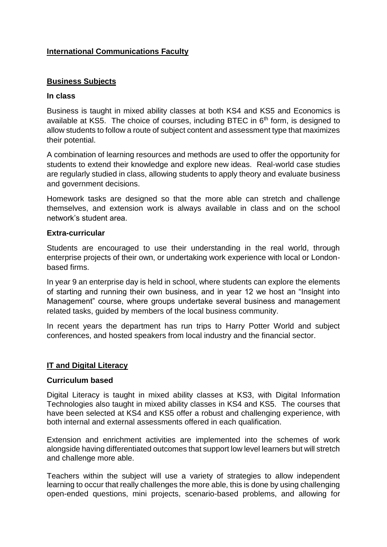# **International Communications Faculty**

## **Business Subjects**

### **In class**

Business is taught in mixed ability classes at both KS4 and KS5 and Economics is available at KS5. The choice of courses, including BTEC in  $6<sup>th</sup>$  form, is designed to allow students to follow a route of subject content and assessment type that maximizes their potential.

A combination of learning resources and methods are used to offer the opportunity for students to extend their knowledge and explore new ideas. Real-world case studies are regularly studied in class, allowing students to apply theory and evaluate business and government decisions.

Homework tasks are designed so that the more able can stretch and challenge themselves, and extension work is always available in class and on the school network's student area.

#### **Extra-curricular**

Students are encouraged to use their understanding in the real world, through enterprise projects of their own, or undertaking work experience with local or Londonbased firms.

In year 9 an enterprise day is held in school, where students can explore the elements of starting and running their own business, and in year 12 we host an "Insight into Management" course, where groups undertake several business and management related tasks, guided by members of the local business community.

In recent years the department has run trips to Harry Potter World and subject conferences, and hosted speakers from local industry and the financial sector.

#### **IT and Digital Literacy**

#### **Curriculum based**

Digital Literacy is taught in mixed ability classes at KS3, with Digital Information Technologies also taught in mixed ability classes in KS4 and KS5. The courses that have been selected at KS4 and KS5 offer a robust and challenging experience, with both internal and external assessments offered in each qualification.

Extension and enrichment activities are implemented into the schemes of work alongside having differentiated outcomes that support low level learners but will stretch and challenge more able.

Teachers within the subject will use a variety of strategies to allow independent learning to occur that really challenges the more able, this is done by using challenging open-ended questions, mini projects, scenario-based problems, and allowing for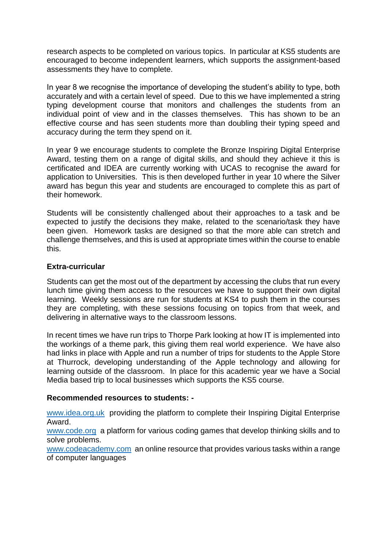research aspects to be completed on various topics. In particular at KS5 students are encouraged to become independent learners, which supports the assignment-based assessments they have to complete.

In year 8 we recognise the importance of developing the student's ability to type, both accurately and with a certain level of speed. Due to this we have implemented a string typing development course that monitors and challenges the students from an individual point of view and in the classes themselves. This has shown to be an effective course and has seen students more than doubling their typing speed and accuracy during the term they spend on it.

In year 9 we encourage students to complete the Bronze Inspiring Digital Enterprise Award, testing them on a range of digital skills, and should they achieve it this is certificated and IDEA are currently working with UCAS to recognise the award for application to Universities. This is then developed further in year 10 where the Silver award has begun this year and students are encouraged to complete this as part of their homework.

Students will be consistently challenged about their approaches to a task and be expected to justify the decisions they make, related to the scenario/task they have been given. Homework tasks are designed so that the more able can stretch and challenge themselves, and this is used at appropriate times within the course to enable this.

### **Extra-curricular**

Students can get the most out of the department by accessing the clubs that run every lunch time giving them access to the resources we have to support their own digital learning. Weekly sessions are run for students at KS4 to push them in the courses they are completing, with these sessions focusing on topics from that week, and delivering in alternative ways to the classroom lessons.

In recent times we have run trips to Thorpe Park looking at how IT is implemented into the workings of a theme park, this giving them real world experience. We have also had links in place with Apple and run a number of trips for students to the Apple Store at Thurrock, developing understanding of the Apple technology and allowing for learning outside of the classroom. In place for this academic year we have a Social Media based trip to local businesses which supports the KS5 course.

### **Recommended resources to students: -**

[www.idea.org.uk](http://www.idea.org.uk/) providing the platform to complete their Inspiring Digital Enterprise Award.

[www.code.org](http://www.code.org/) a platform for various coding games that develop thinking skills and to solve problems.

[www.codeacademy.com](http://www.codeacademy.com/) an online resource that provides various tasks within a range of computer languages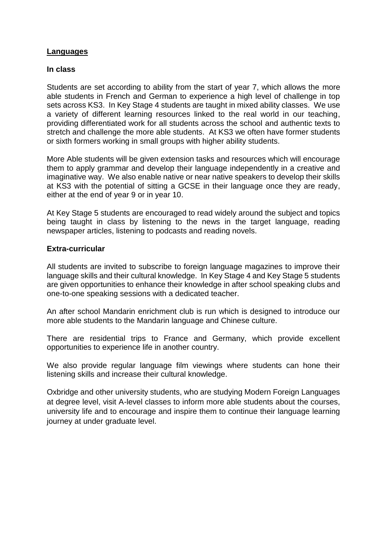## **Languages**

#### **In class**

Students are set according to ability from the start of year 7, which allows the more able students in French and German to experience a high level of challenge in top sets across KS3. In Key Stage 4 students are taught in mixed ability classes. We use a variety of different learning resources linked to the real world in our teaching, providing differentiated work for all students across the school and authentic texts to stretch and challenge the more able students. At KS3 we often have former students or sixth formers working in small groups with higher ability students.

More Able students will be given extension tasks and resources which will encourage them to apply grammar and develop their language independently in a creative and imaginative way. We also enable native or near native speakers to develop their skills at KS3 with the potential of sitting a GCSE in their language once they are ready, either at the end of year 9 or in year 10.

At Key Stage 5 students are encouraged to read widely around the subject and topics being taught in class by listening to the news in the target language, reading newspaper articles, listening to podcasts and reading novels.

#### **Extra-curricular**

All students are invited to subscribe to foreign language magazines to improve their language skills and their cultural knowledge. In Key Stage 4 and Key Stage 5 students are given opportunities to enhance their knowledge in after school speaking clubs and one-to-one speaking sessions with a dedicated teacher.

An after school Mandarin enrichment club is run which is designed to introduce our more able students to the Mandarin language and Chinese culture.

There are residential trips to France and Germany, which provide excellent opportunities to experience life in another country.

We also provide regular language film viewings where students can hone their listening skills and increase their cultural knowledge.

Oxbridge and other university students, who are studying Modern Foreign Languages at degree level, visit A-level classes to inform more able students about the courses, university life and to encourage and inspire them to continue their language learning journey at under graduate level.